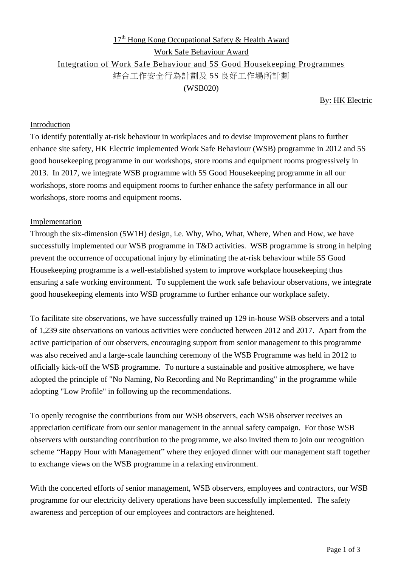# $17<sup>th</sup>$  Hong Kong Occupational Safety & Health Award Work Safe Behaviour Award Integration of Work Safe Behaviour and 5S Good Housekeeping Programmes 結合工作安全行為計劃及 5S 良好工作場所計劃 (WSB020)

#### By: HK Electric

#### Introduction

To identify potentially at-risk behaviour in workplaces and to devise improvement plans to further enhance site safety, HK Electric implemented Work Safe Behaviour (WSB) programme in 2012 and 5S good housekeeping programme in our workshops, store rooms and equipment rooms progressively in 2013. In 2017, we integrate WSB programme with 5S Good Housekeeping programme in all our workshops, store rooms and equipment rooms to further enhance the safety performance in all our workshops, store rooms and equipment rooms.

#### Implementation

Through the six-dimension (5W1H) design, i.e. Why, Who, What, Where, When and How, we have successfully implemented our WSB programme in T&D activities. WSB programme is strong in helping prevent the occurrence of occupational injury by eliminating the at-risk behaviour while 5S Good Housekeeping programme is a well-established system to improve workplace housekeeping thus ensuring a safe working environment. To supplement the work safe behaviour observations, we integrate good housekeeping elements into WSB programme to further enhance our workplace safety.

To facilitate site observations, we have successfully trained up 129 in-house WSB observers and a total of 1,239 site observations on various activities were conducted between 2012 and 2017. Apart from the active participation of our observers, encouraging support from senior management to this programme was also received and a large-scale launching ceremony of the WSB Programme was held in 2012 to officially kick-off the WSB programme. To nurture a sustainable and positive atmosphere, we have adopted the principle of "No Naming, No Recording and No Reprimanding" in the programme while adopting "Low Profile" in following up the recommendations.

To openly recognise the contributions from our WSB observers, each WSB observer receives an appreciation certificate from our senior management in the annual safety campaign. For those WSB observers with outstanding contribution to the programme, we also invited them to join our recognition scheme "Happy Hour with Management" where they enjoyed dinner with our management staff together to exchange views on the WSB programme in a relaxing environment.

With the concerted efforts of senior management, WSB observers, employees and contractors, our WSB programme for our electricity delivery operations have been successfully implemented. The safety awareness and perception of our employees and contractors are heightened.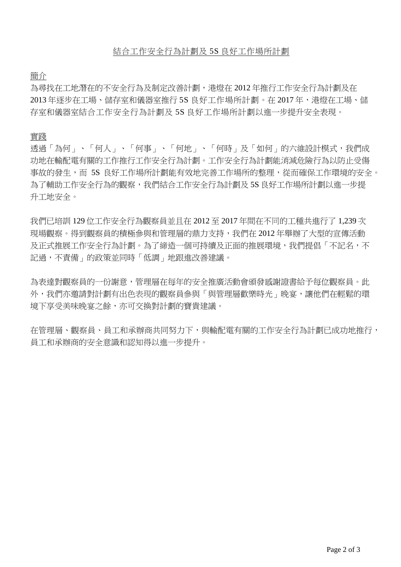簡介

為尋找在工地潛在的不安全行為及制定改善計劃,港燈在 2012 年推行工作安全行為計劃及在 2013 年逐步在工場、儲存室和儀器室推行 5S 良好工作場所計劃。在 2017 年,港燈在工場、儲 存室和儀器室結合工作安全行為計劃及 5S 良好工作場所計劃以進一步提升安全表現。

#### 實踐

透過「為何」、「何人」、「何事」、「何地」、「何時」及「如何」的六維設計模式,我們成 功地在輸配電有關的工作推行工作安全行為計劃。工作安全行為計劃能消減危險行為以防止受傷 事故的發生,而 5S 良好工作場所計劃能有效地完善工作場所的整理,從而確保工作環境的安全。 為了輔助工作安全行為的觀察,我們結合工作安全行為計劃及 5S 良好工作場所計劃以進一步提 升工地安全。

我們已培訓 129 位工作安全行為觀察員並且在 2012 至 2017 年間在不同的工種共進行了 1,239 次 現場觀察。得到觀察員的積極參與和管理層的鼎力支持,我們在 2012 年舉辦了大型的宣傳活動 及正式推展工作安全行為計劃。為了締造一個可持續及正面的推展環境,我們提倡「不記名,不 記過,不責備」的政策並同時「低調」地跟進改善建議。

為表達對觀察員的一份謝意,管理層在每年的安全推廣活動會頒發感謝證書給予每位觀察員。此 外,我們亦邀請對計劃有出色表現的觀察員參與「與管理層歡樂時光」晚宴,讓他們在輕鬆的環 境下享受美味晚宴之餘,亦可交換對計劃的寶貴建議。

在管理層、觀察員、員工和承辦商共同努力下,與輸配電有關的工作安全行為計劃已成功地推行, 員工和承辦商的安全意識和認知得以進一步提升。